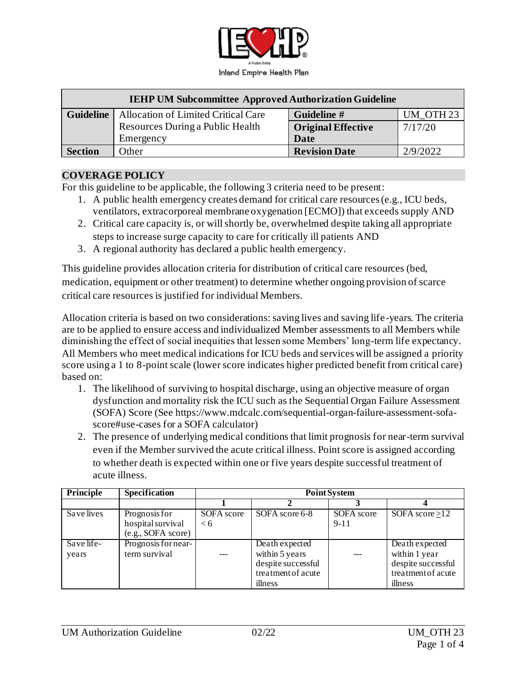

| <b>IEHP UM Subcommittee Approved Authorization Guideline</b> |                                     |                           |           |  |  |  |
|--------------------------------------------------------------|-------------------------------------|---------------------------|-----------|--|--|--|
| <b>Guideline</b>                                             | Allocation of Limited Critical Care | Guideline #               | UM OTH 23 |  |  |  |
|                                                              | Resources During a Public Health    | <b>Original Effective</b> | 7/17/20   |  |  |  |
|                                                              | Emergency                           | Date                      |           |  |  |  |
| <b>Section</b>                                               | Other                               | <b>Revision Date</b>      | 2/9/2022  |  |  |  |

#### **COVERAGE POLICY**

For this guideline to be applicable, the following 3 criteria need to be present:

- 1. A public health emergency creates demand for critical care resources (e.g., ICU beds, ventilators, extracorporeal membrane oxygenation [ECMO]) that exceeds supply AND
- 2. Critical care capacity is, or will shortly be, overwhelmed despite taking all appropriate steps to increase surge capacity to care for critically ill patients AND
- 3. A regional authority has declared a public health emergency.

This guideline provides allocation criteria for distribution of critical care resources (bed, medication, equipment or other treatment) to determine whether ongoing provision of scarce critical care resources is justified for individual Members.

Allocation criteria is based on two considerations: saving lives and saving life-years. The criteria are to be applied to ensure access and individualized Member assessments to all Members while diminishing the effect of social inequities that lessen some Members' long-term life expectancy. All Members who meet medical indications for ICU beds and services will be assigned a priority score using a 1 to 8-point scale (lower score indicates higher predicted benefit from critical care) based on:

- 1. The likelihood of surviving to hospital discharge, using an objective measure of organ dysfunction and mortality risk the ICU such as the Sequential Organ Failure Assessment (SOFA) Score (See [https://www.mdcalc.com/sequential-organ-failure-assessment-sofa](https://www.mdcalc.com/sequential-organ-failure-assessment-sofa-score#use-cases)[score#use-cases](https://www.mdcalc.com/sequential-organ-failure-assessment-sofa-score#use-cases) for a SOFA calculator)
- 2. The presence of underlying medical conditions that limit prognosis for near-term survival even if the Member survived the acute critical illness. Point score is assigned according to whether death is expected within one or five years despite successful treatment of acute illness.

| Principle           | <b>Specification</b>                                     | <b>Point System</b>   |                                                                                         |                        |                                                                                        |  |
|---------------------|----------------------------------------------------------|-----------------------|-----------------------------------------------------------------------------------------|------------------------|----------------------------------------------------------------------------------------|--|
|                     |                                                          |                       |                                                                                         |                        |                                                                                        |  |
| Save lives          | Prognosis for<br>hospital survival<br>(e.g., SOFA score) | SOFA score<br>$\lt 6$ | SOFA score 6-8                                                                          | SOFA score<br>$9 - 11$ | SOFA score $\geq$ 12                                                                   |  |
| Save life-<br>years | Prognosis for near-<br>term survival                     |                       | Death expected<br>within 5 years<br>despite successful<br>treatment of acute<br>illness |                        | Death expected<br>within 1 year<br>despite successful<br>treatment of acute<br>illness |  |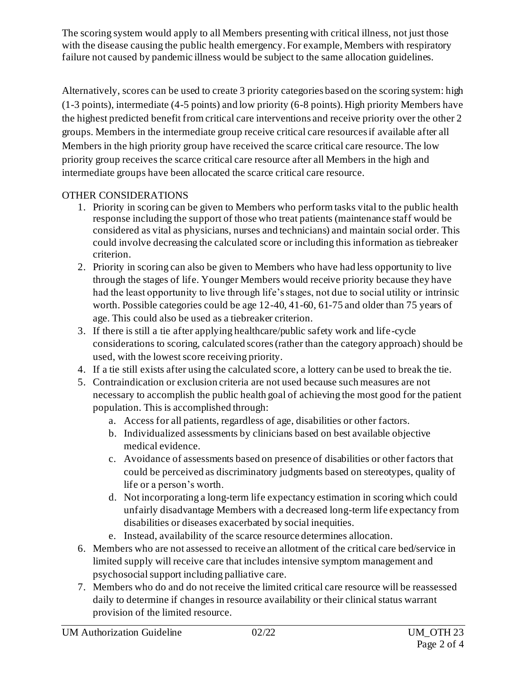The scoring system would apply to all Members presenting with critical illness, not just those with the disease causing the public health emergency. For example, Members with respiratory failure not caused by pandemic illness would be subject to the same allocation guidelines.

Alternatively, scores can be used to create 3 priority categories based on the scoring system: high (1-3 points), intermediate (4-5 points) and low priority (6-8 points). High priority Members have the highest predicted benefit from critical care interventions and receive priority over the other 2 groups. Members in the intermediate group receive critical care resources if available after all Members in the high priority group have received the scarce critical care resource. The low priority group receives the scarce critical care resource after all Members in the high and intermediate groups have been allocated the scarce critical care resource.

## OTHER CONSIDERATIONS

- 1. Priority in scoring can be given to Members who perform tasks vital to the public health response including the support of those who treat patients (maintenance staff would be considered as vital as physicians, nurses and technicians) and maintain social order. This could involve decreasing the calculated score or including this information as tiebreaker criterion.
- 2. Priority in scoring can also be given to Members who have had less opportunity to live through the stages of life. Younger Members would receive priority because they have had the least opportunity to live through life's stages, not due to social utility or intrinsic worth. Possible categories could be age 12-40, 41-60, 61-75 and older than 75 years of age. This could also be used as a tiebreaker criterion.
- 3. If there is still a tie after applying healthcare/public safety work and life-cycle considerations to scoring, calculated scores (rather than the category approach) should be used, with the lowest score receiving priority.
- 4. If a tie still exists after using the calculated score, a lottery can be used to break the tie.
- 5. Contraindication or exclusion criteria are not used because such measures are not necessary to accomplish the public health goal of achieving the most good for the patient population. This is accomplished through:
	- a. Access for all patients, regardless of age, disabilities or other factors.
	- b. Individualized assessments by clinicians based on best available objective medical evidence.
	- c. Avoidance of assessments based on presence of disabilities or other factors that could be perceived as discriminatory judgments based on stereotypes, quality of life or a person's worth.
	- d. Not incorporating a long-term life expectancy estimation in scoring which could unfairly disadvantage Members with a decreased long-term life expectancy from disabilities or diseases exacerbated by social inequities.
	- e. Instead, availability of the scarce resource determines allocation.
- 6. Members who are not assessed to receive an allotment of the critical care bed/service in limited supply will receive care that includes intensive symptom management and psychosocial support including palliative care.
- 7. Members who do and do not receive the limited critical care resource will be reassessed daily to determine if changes in resource availability or their clinical status warrant provision of the limited resource.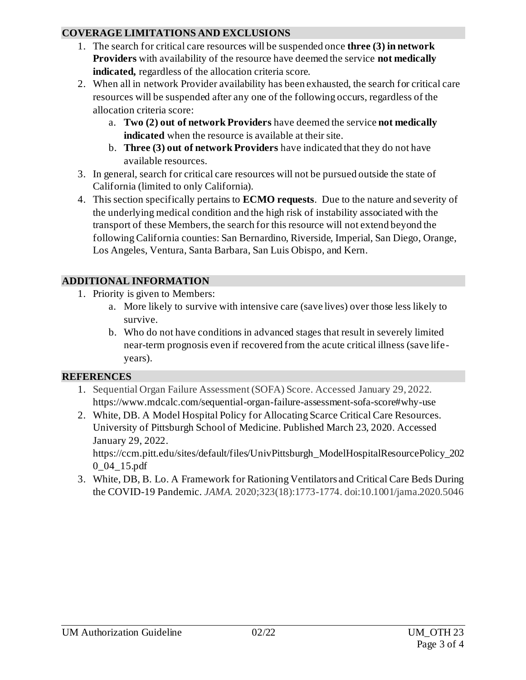### **COVERAGE LIMITATIONS AND EXCLUSIONS**

- 1. The search for critical care resources will be suspended once **three (3) in network Providers** with availability of the resource have deemed the service **not medically indicated,** regardless of the allocation criteria score.
- 2. When all in network Provider availability has been exhausted, the search for critical care resources will be suspended after any one of the following occurs, regardless of the allocation criteria score:
	- a. **Two (2) out of network Providers** have deemed the service **not medically indicated** when the resource is available at their site.
	- b. **Three (3) out of network Providers** have indicated that they do not have available resources.
- 3. In general, search for critical care resources will not be pursued outside the state of California (limited to only California).
- 4. This section specifically pertains to **ECMO requests**. Due to the nature and severity of the underlying medical condition and the high risk of instability associated with the transport of these Members, the search for this resource will not extend beyond the following California counties: San Bernardino, Riverside, Imperial, San Diego, Orange, Los Angeles, Ventura, Santa Barbara, San Luis Obispo, and Kern.

# **ADDITIONAL INFORMATION**

- 1. Priority is given to Members:
	- a. More likely to survive with intensive care (save lives) over those less likely to survive.
	- b. Who do not have conditions in advanced stages that result in severely limited near-term prognosis even if recovered from the acute critical illness (save lifeyears).

## **REFERENCES**

- 1. Sequential Organ Failure Assessment (SOFA) Score. Accessed January 29, 2022. <https://www.mdcalc.com/sequential-organ-failure-assessment-sofa-score#why-use>
- 2. White, DB. A Model Hospital Policy for Allocating Scarce Critical Care Resources. University of Pittsburgh School of Medicine. Published March 23, 2020. Accessed January 29, 2022.

[https://ccm.pitt.edu/sites/default/files/UnivPittsburgh\\_ModelHospitalResourcePolicy\\_202](https://ccm.pitt.edu/sites/default/files/UnivPittsburgh_ModelHospitalResourcePolicy_2020_04_15.pdf) [0\\_04\\_15.pdf](https://ccm.pitt.edu/sites/default/files/UnivPittsburgh_ModelHospitalResourcePolicy_2020_04_15.pdf)

3. White, DB, B. Lo. A Framework for Rationing Ventilators and Critical Care Beds During the COVID-19 Pandemic. *JAMA.* 2020;323(18):1773-1774. doi:10.1001/jama.2020.5046